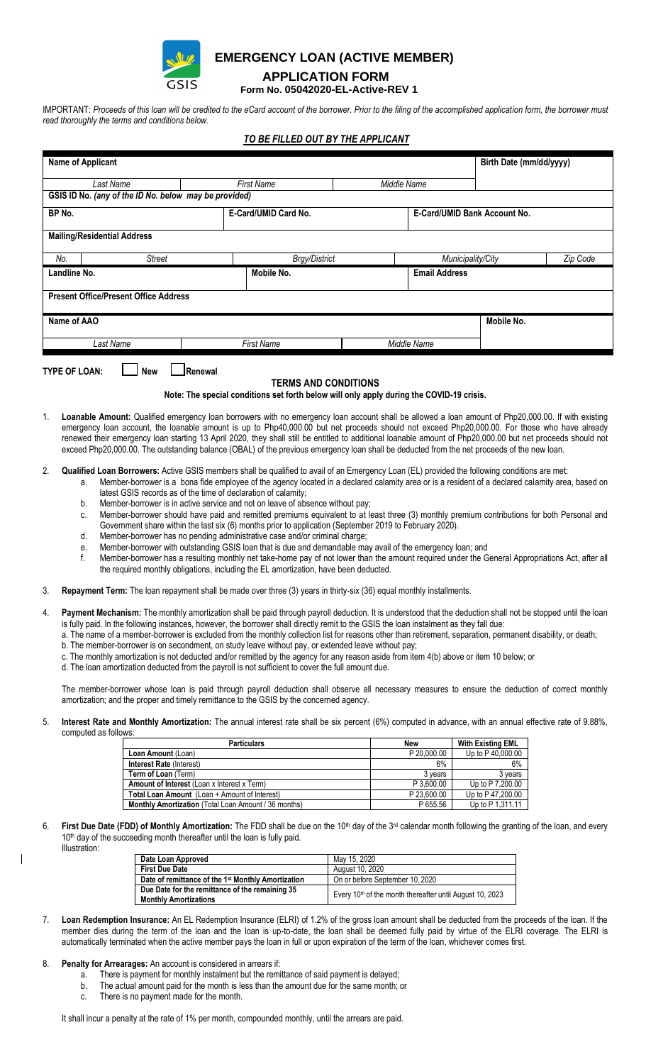

## **EMERGENCY LOAN (ACTIVE MEMBER)**

## **APPLICATION FORM**

 **Form No. 05042020-EL-Active-REV 1**

IMPORTANT: *Proceeds of this loan will be credited to the eCard account of the borrower. Prior to the filing of the accomplished application form, the borrower must read thoroughly the terms and conditions below.*

## *TO BE FILLED OUT BY THE APPLICANT*

| Name of Applicant                                                                                                                                                                                                                                                                                                                                                                                                                                                                                                                                                                                                                                                                                                                                                                                                                                                                                                                                                                                                                                                                                                                                                                                |                                                                                                                                                                                                                                                                                                                                                                                                                                                                                                                                                                                                                                                 |                                                    |  |                      |                         |                                                     |                              |                   | Birth Date (mm/dd/yyyy) |  |          |  |
|--------------------------------------------------------------------------------------------------------------------------------------------------------------------------------------------------------------------------------------------------------------------------------------------------------------------------------------------------------------------------------------------------------------------------------------------------------------------------------------------------------------------------------------------------------------------------------------------------------------------------------------------------------------------------------------------------------------------------------------------------------------------------------------------------------------------------------------------------------------------------------------------------------------------------------------------------------------------------------------------------------------------------------------------------------------------------------------------------------------------------------------------------------------------------------------------------|-------------------------------------------------------------------------------------------------------------------------------------------------------------------------------------------------------------------------------------------------------------------------------------------------------------------------------------------------------------------------------------------------------------------------------------------------------------------------------------------------------------------------------------------------------------------------------------------------------------------------------------------------|----------------------------------------------------|--|----------------------|-------------------------|-----------------------------------------------------|------------------------------|-------------------|-------------------------|--|----------|--|
| Last Name<br><b>First Name</b><br>Middle Name                                                                                                                                                                                                                                                                                                                                                                                                                                                                                                                                                                                                                                                                                                                                                                                                                                                                                                                                                                                                                                                                                                                                                    |                                                                                                                                                                                                                                                                                                                                                                                                                                                                                                                                                                                                                                                 |                                                    |  |                      |                         |                                                     |                              |                   |                         |  |          |  |
| GSIS ID No. (any of the ID No. below may be provided)                                                                                                                                                                                                                                                                                                                                                                                                                                                                                                                                                                                                                                                                                                                                                                                                                                                                                                                                                                                                                                                                                                                                            |                                                                                                                                                                                                                                                                                                                                                                                                                                                                                                                                                                                                                                                 |                                                    |  |                      |                         |                                                     |                              |                   |                         |  |          |  |
| BP No.<br>E-Card/UMID Card No.                                                                                                                                                                                                                                                                                                                                                                                                                                                                                                                                                                                                                                                                                                                                                                                                                                                                                                                                                                                                                                                                                                                                                                   |                                                                                                                                                                                                                                                                                                                                                                                                                                                                                                                                                                                                                                                 |                                                    |  |                      |                         |                                                     | E-Card/UMID Bank Account No. |                   |                         |  |          |  |
|                                                                                                                                                                                                                                                                                                                                                                                                                                                                                                                                                                                                                                                                                                                                                                                                                                                                                                                                                                                                                                                                                                                                                                                                  | <b>Mailing/Residential Address</b>                                                                                                                                                                                                                                                                                                                                                                                                                                                                                                                                                                                                              |                                                    |  |                      |                         |                                                     |                              |                   |                         |  |          |  |
|                                                                                                                                                                                                                                                                                                                                                                                                                                                                                                                                                                                                                                                                                                                                                                                                                                                                                                                                                                                                                                                                                                                                                                                                  | No.                                                                                                                                                                                                                                                                                                                                                                                                                                                                                                                                                                                                                                             | <b>Street</b>                                      |  | <b>Brgy/District</b> |                         |                                                     |                              | Municipality/City |                         |  | Zip Code |  |
|                                                                                                                                                                                                                                                                                                                                                                                                                                                                                                                                                                                                                                                                                                                                                                                                                                                                                                                                                                                                                                                                                                                                                                                                  | Landline No.<br>Mobile No.                                                                                                                                                                                                                                                                                                                                                                                                                                                                                                                                                                                                                      |                                                    |  |                      |                         |                                                     | <b>Email Address</b>         |                   |                         |  |          |  |
| <b>Present Office/Present Office Address</b>                                                                                                                                                                                                                                                                                                                                                                                                                                                                                                                                                                                                                                                                                                                                                                                                                                                                                                                                                                                                                                                                                                                                                     |                                                                                                                                                                                                                                                                                                                                                                                                                                                                                                                                                                                                                                                 |                                                    |  |                      |                         |                                                     |                              |                   |                         |  |          |  |
| Name of AAO                                                                                                                                                                                                                                                                                                                                                                                                                                                                                                                                                                                                                                                                                                                                                                                                                                                                                                                                                                                                                                                                                                                                                                                      |                                                                                                                                                                                                                                                                                                                                                                                                                                                                                                                                                                                                                                                 |                                                    |  |                      |                         |                                                     |                              | Mobile No.        |                         |  |          |  |
|                                                                                                                                                                                                                                                                                                                                                                                                                                                                                                                                                                                                                                                                                                                                                                                                                                                                                                                                                                                                                                                                                                                                                                                                  | Last Name                                                                                                                                                                                                                                                                                                                                                                                                                                                                                                                                                                                                                                       |                                                    |  | <b>First Name</b>    |                         |                                                     | Middle Name                  |                   |                         |  |          |  |
| 1.                                                                                                                                                                                                                                                                                                                                                                                                                                                                                                                                                                                                                                                                                                                                                                                                                                                                                                                                                                                                                                                                                                                                                                                               | Renewal<br><b>TYPE OF LOAN:</b><br><b>New</b><br><b>TERMS AND CONDITIONS</b><br>Note: The special conditions set forth below will only apply during the COVID-19 crisis.<br>Loanable Amount: Qualified emergency loan borrowers with no emergency loan account shall be allowed a loan amount of Php20,000.00. If with existing<br>emergency loan account, the loanable amount is up to Php40,000.00 but net proceeds should not exceed Php20,000.00. For those who have already<br>renewed their emergency loan starting 13 April 2020, they shall still be entitled to additional loanable amount of Php20,000.00 but net proceeds should not |                                                    |  |                      |                         |                                                     |                              |                   |                         |  |          |  |
| 2.<br>Qualified Loan Borrowers: Active GSIS members shall be qualified to avail of an Emergency Loan (EL) provided the following conditions are met:<br>Member-borrower is a bona fide employee of the agency located in a declared calamity area or is a resident of a declared calamity area, based on<br>a.<br>latest GSIS records as of the time of declaration of calamity;<br>Member-borrower is in active service and not on leave of absence without pay;<br>b.<br>Member-borrower should have paid and remitted premiums equivalent to at least three (3) monthly premium contributions for both Personal and<br>c.<br>Government share within the last six (6) months prior to application (September 2019 to February 2020).<br>Member-borrower has no pending administrative case and/or criminal charge;<br>d.<br>Member-borrower with outstanding GSIS loan that is due and demandable may avail of the emergency loan; and<br>е.<br>Member-borrower has a resulting monthly net take-home pay of not lower than the amount required under the General Appropriations Act, after all<br>f.<br>the required monthly obligations, including the EL amortization, have been deducted. |                                                                                                                                                                                                                                                                                                                                                                                                                                                                                                                                                                                                                                                 |                                                    |  |                      |                         |                                                     |                              |                   |                         |  |          |  |
| 3.                                                                                                                                                                                                                                                                                                                                                                                                                                                                                                                                                                                                                                                                                                                                                                                                                                                                                                                                                                                                                                                                                                                                                                                               | Repayment Term: The loan repayment shall be made over three (3) years in thirty-six (36) equal monthly installments.                                                                                                                                                                                                                                                                                                                                                                                                                                                                                                                            |                                                    |  |                      |                         |                                                     |                              |                   |                         |  |          |  |
| Payment Mechanism: The monthly amortization shall be paid through payroll deduction. It is understood that the deduction shall not be stopped until the loan<br>4.<br>is fully paid. In the following instances, however, the borrower shall directly remit to the GSIS the loan instalment as they fall due:<br>a. The name of a member-borrower is excluded from the monthly collection list for reasons other than retirement, separation, permanent disability, or death;<br>b. The member-borrower is on secondment, on study leave without pay, or extended leave without pay;<br>c. The monthly amortization is not deducted and/or remitted by the agency for any reason aside from item 4(b) above or item 10 below; or<br>d. The loan amortization deducted from the payroll is not sufficient to cover the full amount due.<br>The member-borrower whose loan is paid through payroll deduction shall observe all necessary measures to ensure the deduction of correct monthly<br>amortization; and the proper and timely remittance to the GSIS by the concerned agency.                                                                                                            |                                                                                                                                                                                                                                                                                                                                                                                                                                                                                                                                                                                                                                                 |                                                    |  |                      |                         |                                                     |                              |                   |                         |  |          |  |
| 5.<br>Interest Rate and Monthly Amortization: The annual interest rate shall be six percent (6%) computed in advance, with an annual effective rate of 9.88%,<br>computed as follows:                                                                                                                                                                                                                                                                                                                                                                                                                                                                                                                                                                                                                                                                                                                                                                                                                                                                                                                                                                                                            |                                                                                                                                                                                                                                                                                                                                                                                                                                                                                                                                                                                                                                                 |                                                    |  |                      |                         |                                                     |                              |                   |                         |  |          |  |
|                                                                                                                                                                                                                                                                                                                                                                                                                                                                                                                                                                                                                                                                                                                                                                                                                                                                                                                                                                                                                                                                                                                                                                                                  |                                                                                                                                                                                                                                                                                                                                                                                                                                                                                                                                                                                                                                                 |                                                    |  | New                  |                         |                                                     | <b>With Existing EML</b>     |                   |                         |  |          |  |
|                                                                                                                                                                                                                                                                                                                                                                                                                                                                                                                                                                                                                                                                                                                                                                                                                                                                                                                                                                                                                                                                                                                                                                                                  | Loan Amount (Loan)<br>Interest Rate (Interest)                                                                                                                                                                                                                                                                                                                                                                                                                                                                                                                                                                                                  |                                                    |  |                      |                         | P 20,000.00<br>Up to P 40,000.00<br>6%<br>6%        |                              |                   |                         |  |          |  |
|                                                                                                                                                                                                                                                                                                                                                                                                                                                                                                                                                                                                                                                                                                                                                                                                                                                                                                                                                                                                                                                                                                                                                                                                  | Term of Loan (Term)                                                                                                                                                                                                                                                                                                                                                                                                                                                                                                                                                                                                                             |                                                    |  |                      |                         | 3 years<br>$\overline{3}$ years                     |                              |                   |                         |  |          |  |
|                                                                                                                                                                                                                                                                                                                                                                                                                                                                                                                                                                                                                                                                                                                                                                                                                                                                                                                                                                                                                                                                                                                                                                                                  | Amount of Interest (Loan x Interest x Term)<br>Total Loan Amount (Loan + Amount of Interest)                                                                                                                                                                                                                                                                                                                                                                                                                                                                                                                                                    |                                                    |  |                      |                         | Up to P 7,200.00<br>P 3,600.00<br>Up to P 47,200.00 |                              |                   |                         |  |          |  |
|                                                                                                                                                                                                                                                                                                                                                                                                                                                                                                                                                                                                                                                                                                                                                                                                                                                                                                                                                                                                                                                                                                                                                                                                  | Monthly Amortization (Total Loan Amount / 36 months)                                                                                                                                                                                                                                                                                                                                                                                                                                                                                                                                                                                            |                                                    |  |                      | P 23,600.00<br>P 655.56 |                                                     |                              |                   | Up to P 1,311.11        |  |          |  |
| First Due Date (FDD) of Monthly Amortization: The FDD shall be due on the 10 <sup>th</sup> day of the 3 <sup>rd</sup> calendar month following the granting of the loan, and every<br>6.<br>10 <sup>th</sup> day of the succeeding month thereafter until the loan is fully paid.<br>Illustration:                                                                                                                                                                                                                                                                                                                                                                                                                                                                                                                                                                                                                                                                                                                                                                                                                                                                                               |                                                                                                                                                                                                                                                                                                                                                                                                                                                                                                                                                                                                                                                 |                                                    |  |                      |                         |                                                     |                              |                   |                         |  |          |  |
|                                                                                                                                                                                                                                                                                                                                                                                                                                                                                                                                                                                                                                                                                                                                                                                                                                                                                                                                                                                                                                                                                                                                                                                                  |                                                                                                                                                                                                                                                                                                                                                                                                                                                                                                                                                                                                                                                 | Date Loan Approved<br><b>First Due Date</b>        |  |                      |                         | May 15, 2020                                        |                              |                   |                         |  |          |  |
|                                                                                                                                                                                                                                                                                                                                                                                                                                                                                                                                                                                                                                                                                                                                                                                                                                                                                                                                                                                                                                                                                                                                                                                                  |                                                                                                                                                                                                                                                                                                                                                                                                                                                                                                                                                                                                                                                 | Date of remittance of the 1st Monthly Amortization |  |                      |                         | August 10, 2020<br>On or before September 10, 2020  |                              |                   |                         |  |          |  |
| Due Date for the remittance of the remaining 35<br>Every 10th of the month thereafter until August 10, 2023<br><b>Monthly Amortizations</b>                                                                                                                                                                                                                                                                                                                                                                                                                                                                                                                                                                                                                                                                                                                                                                                                                                                                                                                                                                                                                                                      |                                                                                                                                                                                                                                                                                                                                                                                                                                                                                                                                                                                                                                                 |                                                    |  |                      |                         |                                                     |                              |                   |                         |  |          |  |

- 7. **Loan Redemption Insurance:** An EL Redemption Insurance (ELRI) of 1.2% of the gross loan amount shall be deducted from the proceeds of the loan. If the member dies during the term of the loan and the loan is up-to-date, the loan shall be deemed fully paid by virtue of the ELRI coverage. The ELRI is automatically terminated when the active member pays the loan in full or upon expiration of the term of the loan, whichever comes first.
- 8. **Penalty for Arrearages:** An account is considered in arrears if:

 $\mathbf{I}$ 

- 
- a. There is payment for monthly instalment but the remittance of said payment is delayed;<br>b. The actual amount paid for the month is less than the amount due for the same month; The actual amount paid for the month is less than the amount due for the same month; or
- c. There is no payment made for the month.

It shall incur a penalty at the rate of 1% per month, compounded monthly, until the arrears are paid.